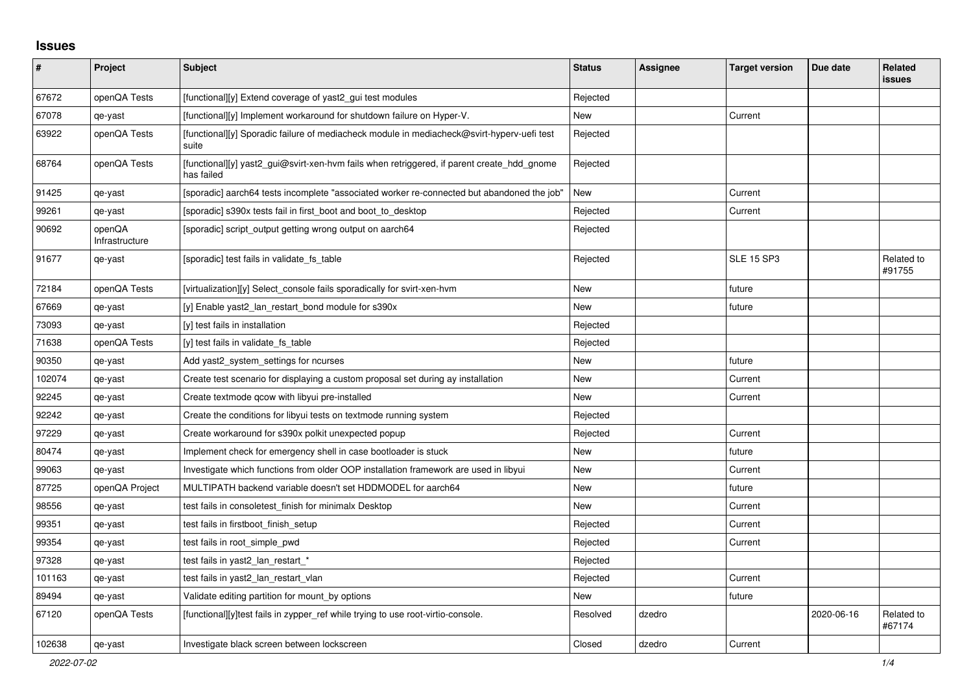## **Issues**

| #      | <b>Project</b>           | <b>Subject</b>                                                                                           | <b>Status</b> | <b>Assignee</b> | <b>Target version</b> | Due date   | Related<br><b>issues</b> |
|--------|--------------------------|----------------------------------------------------------------------------------------------------------|---------------|-----------------|-----------------------|------------|--------------------------|
| 67672  | openQA Tests             | [functional][y] Extend coverage of yast2_gui test modules                                                | Rejected      |                 |                       |            |                          |
| 67078  | qe-yast                  | [functional][y] Implement workaround for shutdown failure on Hyper-V.                                    | New           |                 | Current               |            |                          |
| 63922  | openQA Tests             | [functional][y] Sporadic failure of mediacheck module in mediacheck@svirt-hyperv-uefi test<br>suite      | Rejected      |                 |                       |            |                          |
| 68764  | openQA Tests             | [functional][y] yast2_gui@svirt-xen-hvm fails when retriggered, if parent create_hdd_gnome<br>has failed | Rejected      |                 |                       |            |                          |
| 91425  | qe-yast                  | [sporadic] aarch64 tests incomplete "associated worker re-connected but abandoned the job"               | <b>New</b>    |                 | Current               |            |                          |
| 99261  | qe-yast                  | [sporadic] s390x tests fail in first_boot and boot_to_desktop                                            | Rejected      |                 | Current               |            |                          |
| 90692  | openQA<br>Infrastructure | [sporadic] script output getting wrong output on aarch64                                                 | Rejected      |                 |                       |            |                          |
| 91677  | qe-yast                  | [sporadic] test fails in validate_fs_table                                                               | Rejected      |                 | <b>SLE 15 SP3</b>     |            | Related to<br>#91755     |
| 72184  | openQA Tests             | [virtualization][y] Select_console fails sporadically for svirt-xen-hvm                                  | New           |                 | future                |            |                          |
| 67669  | qe-yast                  | [y] Enable yast2 lan restart bond module for s390x                                                       | New           |                 | future                |            |                          |
| 73093  | qe-yast                  | [y] test fails in installation                                                                           | Rejected      |                 |                       |            |                          |
| 71638  | openQA Tests             | [y] test fails in validate fs table                                                                      | Rejected      |                 |                       |            |                          |
| 90350  | qe-yast                  | Add yast2_system_settings for ncurses                                                                    | New           |                 | future                |            |                          |
| 102074 | qe-yast                  | Create test scenario for displaying a custom proposal set during ay installation                         | <b>New</b>    |                 | Current               |            |                          |
| 92245  | qe-yast                  | Create textmode gcow with libyui pre-installed                                                           | New           |                 | Current               |            |                          |
| 92242  | qe-yast                  | Create the conditions for libyui tests on textmode running system                                        | Rejected      |                 |                       |            |                          |
| 97229  | qe-yast                  | Create workaround for s390x polkit unexpected popup                                                      | Rejected      |                 | Current               |            |                          |
| 80474  | qe-yast                  | Implement check for emergency shell in case bootloader is stuck                                          | <b>New</b>    |                 | future                |            |                          |
| 99063  | qe-yast                  | Investigate which functions from older OOP installation framework are used in libyui                     | New           |                 | Current               |            |                          |
| 87725  | openQA Project           | MULTIPATH backend variable doesn't set HDDMODEL for aarch64                                              | <b>New</b>    |                 | future                |            |                          |
| 98556  | qe-yast                  | test fails in consoletest finish for minimalx Desktop                                                    | <b>New</b>    |                 | Current               |            |                          |
| 99351  | qe-yast                  | test fails in firstboot_finish_setup                                                                     | Rejected      |                 | Current               |            |                          |
| 99354  | qe-yast                  | test fails in root simple pwd                                                                            | Rejected      |                 | Current               |            |                          |
| 97328  | qe-yast                  | test fails in yast2_lan_restart_*                                                                        | Rejected      |                 |                       |            |                          |
| 101163 | qe-yast                  | test fails in yast2 lan restart vlan                                                                     | Rejected      |                 | Current               |            |                          |
| 89494  | qe-yast                  | Validate editing partition for mount by options                                                          | New           |                 | future                |            |                          |
| 67120  | openQA Tests             | [functional][y]test fails in zypper_ref while trying to use root-virtio-console.                         | Resolved      | dzedro          |                       | 2020-06-16 | Related to<br>#67174     |
| 102638 | qe-yast                  | Investigate black screen between lockscreen                                                              | Closed        | dzedro          | Current               |            |                          |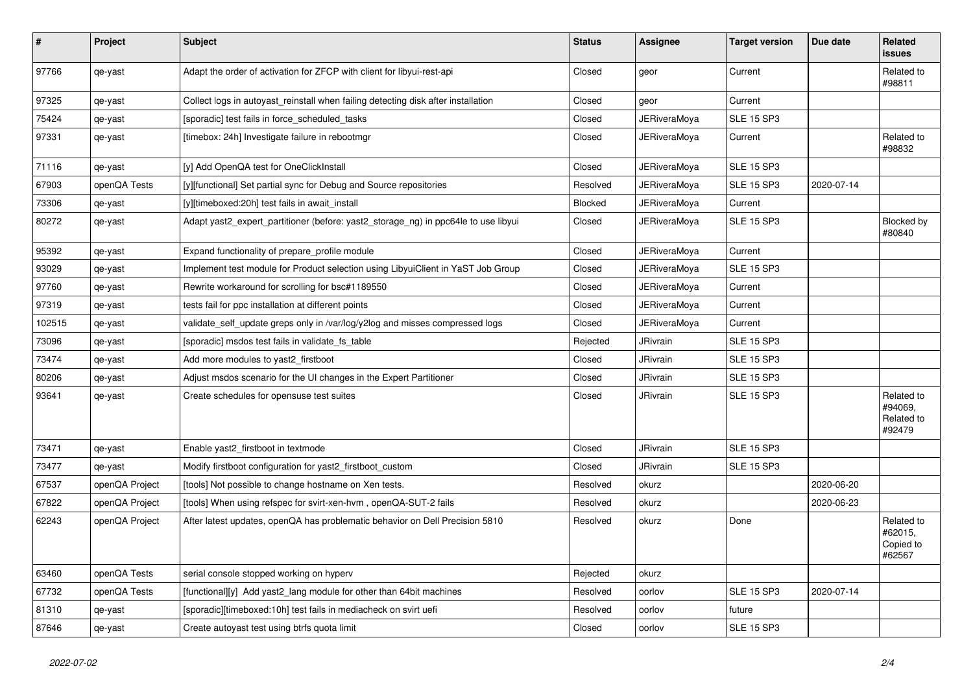| $\sharp$ | Project        | <b>Subject</b>                                                                     | <b>Status</b> | Assignee            | <b>Target version</b> | Due date   | <b>Related</b><br><b>issues</b>               |
|----------|----------------|------------------------------------------------------------------------------------|---------------|---------------------|-----------------------|------------|-----------------------------------------------|
| 97766    | qe-yast        | Adapt the order of activation for ZFCP with client for libyui-rest-api             | Closed        | geor                | Current               |            | Related to<br>#98811                          |
| 97325    | qe-yast        | Collect logs in autoyast reinstall when failing detecting disk after installation  | Closed        | geor                | Current               |            |                                               |
| 75424    | qe-yast        | [sporadic] test fails in force_scheduled_tasks                                     | Closed        | <b>JERiveraMoya</b> | <b>SLE 15 SP3</b>     |            |                                               |
| 97331    | qe-yast        | [timebox: 24h] Investigate failure in rebootmgr                                    | Closed        | JERiveraMoya        | Current               |            | Related to<br>#98832                          |
| 71116    | qe-yast        | [y] Add OpenQA test for OneClickInstall                                            | Closed        | JERiveraMoya        | <b>SLE 15 SP3</b>     |            |                                               |
| 67903    | openQA Tests   | [y][functional] Set partial sync for Debug and Source repositories                 | Resolved      | <b>JERiveraMoya</b> | <b>SLE 15 SP3</b>     | 2020-07-14 |                                               |
| 73306    | qe-yast        | [y][timeboxed:20h] test fails in await install                                     | Blocked       | JERiveraMoya        | Current               |            |                                               |
| 80272    | qe-yast        | Adapt yast2_expert_partitioner (before: yast2_storage_ng) in ppc64le to use libyui | Closed        | JERiveraMoya        | <b>SLE 15 SP3</b>     |            | Blocked by<br>#80840                          |
| 95392    | qe-yast        | Expand functionality of prepare_profile module                                     | Closed        | <b>JERiveraMoya</b> | Current               |            |                                               |
| 93029    | qe-yast        | Implement test module for Product selection using LibyuiClient in YaST Job Group   | Closed        | JERiveraMoya        | <b>SLE 15 SP3</b>     |            |                                               |
| 97760    | qe-yast        | Rewrite workaround for scrolling for bsc#1189550                                   | Closed        | <b>JERiveraMoya</b> | Current               |            |                                               |
| 97319    | qe-yast        | tests fail for ppc installation at different points                                | Closed        | <b>JERiveraMova</b> | Current               |            |                                               |
| 102515   | qe-yast        | validate_self_update greps only in /var/log/y2log and misses compressed logs       | Closed        | <b>JERiveraMoya</b> | Current               |            |                                               |
| 73096    | qe-yast        | [sporadic] msdos test fails in validate fs table                                   | Rejected      | JRivrain            | <b>SLE 15 SP3</b>     |            |                                               |
| 73474    | qe-yast        | Add more modules to yast2 firstboot                                                | Closed        | JRivrain            | <b>SLE 15 SP3</b>     |            |                                               |
| 80206    | qe-yast        | Adjust msdos scenario for the UI changes in the Expert Partitioner                 | Closed        | <b>JRivrain</b>     | <b>SLE 15 SP3</b>     |            |                                               |
| 93641    | qe-yast        | Create schedules for opensuse test suites                                          | Closed        | <b>JRivrain</b>     | <b>SLE 15 SP3</b>     |            | Related to<br>#94069,<br>Related to<br>#92479 |
| 73471    | qe-yast        | Enable yast2 firstboot in textmode                                                 | Closed        | <b>JRivrain</b>     | <b>SLE 15 SP3</b>     |            |                                               |
| 73477    | qe-yast        | Modify firstboot configuration for yast2 firstboot custom                          | Closed        | JRivrain            | <b>SLE 15 SP3</b>     |            |                                               |
| 67537    | openQA Project | [tools] Not possible to change hostname on Xen tests.                              | Resolved      | okurz               |                       | 2020-06-20 |                                               |
| 67822    | openQA Project | [tools] When using refspec for svirt-xen-hvm, openQA-SUT-2 fails                   | Resolved      | okurz               |                       | 2020-06-23 |                                               |
| 62243    | openQA Project | After latest updates, openQA has problematic behavior on Dell Precision 5810       | Resolved      | okurz               | Done                  |            | Related to<br>#62015,<br>Copied to<br>#62567  |
| 63460    | openQA Tests   | serial console stopped working on hyperv                                           | Rejected      | okurz               |                       |            |                                               |
| 67732    | openQA Tests   | [functional][y] Add yast2_lang module for other than 64bit machines                | Resolved      | oorlov              | <b>SLE 15 SP3</b>     | 2020-07-14 |                                               |
| 81310    | qe-yast        | [sporadic][timeboxed:10h] test fails in mediacheck on svirt uefi                   | Resolved      | oorlov              | future                |            |                                               |
| 87646    | qe-yast        | Create autoyast test using btrfs quota limit                                       | Closed        | oorlov              | <b>SLE 15 SP3</b>     |            |                                               |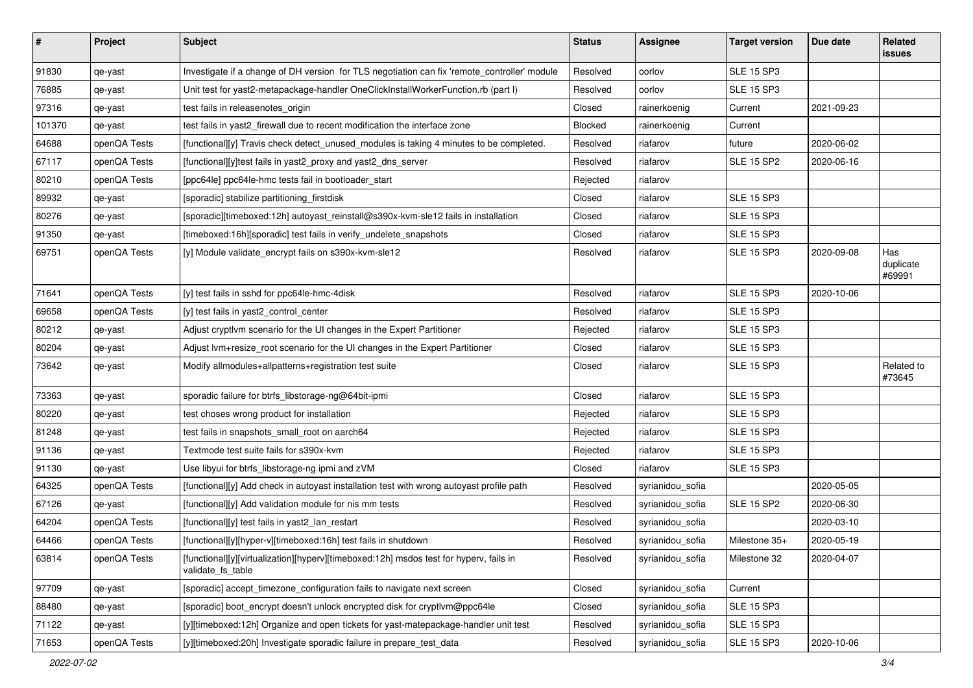| $\#$   | Project      | <b>Subject</b>                                                                                              | <b>Status</b> | <b>Assignee</b>  | <b>Target version</b> | Due date   | Related<br>issues          |
|--------|--------------|-------------------------------------------------------------------------------------------------------------|---------------|------------------|-----------------------|------------|----------------------------|
| 91830  | qe-yast      | Investigate if a change of DH version for TLS negotiation can fix 'remote_controller' module                | Resolved      | oorlov           | <b>SLE 15 SP3</b>     |            |                            |
| 76885  | qe-yast      | Unit test for yast2-metapackage-handler OneClickInstallWorkerFunction.rb (part I)                           | Resolved      | oorlov           | <b>SLE 15 SP3</b>     |            |                            |
| 97316  | qe-yast      | test fails in releasenotes_origin                                                                           | Closed        | rainerkoenig     | Current               | 2021-09-23 |                            |
| 101370 | qe-yast      | test fails in yast2_firewall due to recent modification the interface zone                                  | Blocked       | rainerkoenig     | Current               |            |                            |
| 64688  | openQA Tests | [functional][y] Travis check detect_unused_modules is taking 4 minutes to be completed.                     | Resolved      | riafarov         | future                | 2020-06-02 |                            |
| 67117  | openQA Tests | [functional][y]test fails in yast2_proxy and yast2_dns_server                                               | Resolved      | riafarov         | <b>SLE 15 SP2</b>     | 2020-06-16 |                            |
| 80210  | openQA Tests | [ppc64le] ppc64le-hmc tests fail in bootloader start                                                        | Rejected      | riafarov         |                       |            |                            |
| 89932  | qe-yast      | [sporadic] stabilize partitioning_firstdisk                                                                 | Closed        | riafarov         | <b>SLE 15 SP3</b>     |            |                            |
| 80276  | qe-yast      | [sporadic][timeboxed:12h] autoyast_reinstall@s390x-kvm-sle12 fails in installation                          | Closed        | riafarov         | <b>SLE 15 SP3</b>     |            |                            |
| 91350  | qe-yast      | [timeboxed:16h][sporadic] test fails in verify_undelete_snapshots                                           | Closed        | riafarov         | <b>SLE 15 SP3</b>     |            |                            |
| 69751  | openQA Tests | [y] Module validate_encrypt fails on s390x-kvm-sle12                                                        | Resolved      | riafarov         | <b>SLE 15 SP3</b>     | 2020-09-08 | Has<br>duplicate<br>#69991 |
| 71641  | openQA Tests | [y] test fails in sshd for ppc64le-hmc-4disk                                                                | Resolved      | riafarov         | <b>SLE 15 SP3</b>     | 2020-10-06 |                            |
| 69658  | openQA Tests | [y] test fails in yast2_control_center                                                                      | Resolved      | riafarov         | <b>SLE 15 SP3</b>     |            |                            |
| 80212  | qe-yast      | Adjust cryptlym scenario for the UI changes in the Expert Partitioner                                       | Rejected      | riafarov         | <b>SLE 15 SP3</b>     |            |                            |
| 80204  | qe-yast      | Adjust lvm+resize_root scenario for the UI changes in the Expert Partitioner                                | Closed        | riafarov         | <b>SLE 15 SP3</b>     |            |                            |
| 73642  | qe-yast      | Modify allmodules+allpatterns+registration test suite                                                       | Closed        | riafarov         | <b>SLE 15 SP3</b>     |            | Related to<br>#73645       |
| 73363  | qe-yast      | sporadic failure for btrfs_libstorage-ng@64bit-ipmi                                                         | Closed        | riafarov         | <b>SLE 15 SP3</b>     |            |                            |
| 80220  | qe-yast      | test choses wrong product for installation                                                                  | Rejected      | riafarov         | <b>SLE 15 SP3</b>     |            |                            |
| 81248  | qe-yast      | test fails in snapshots_small_root on aarch64                                                               | Rejected      | riafarov         | <b>SLE 15 SP3</b>     |            |                            |
| 91136  | qe-yast      | Textmode test suite fails for s390x-kvm                                                                     | Rejected      | riafarov         | <b>SLE 15 SP3</b>     |            |                            |
| 91130  | qe-yast      | Use libyui for btrfs_libstorage-ng ipmi and zVM                                                             | Closed        | riafarov         | <b>SLE 15 SP3</b>     |            |                            |
| 64325  | openQA Tests | [functional][y] Add check in autoyast installation test with wrong autoyast profile path                    | Resolved      | syrianidou_sofia |                       | 2020-05-05 |                            |
| 67126  | qe-yast      | [functional][y] Add validation module for nis mm tests                                                      | Resolved      | syrianidou_sofia | <b>SLE 15 SP2</b>     | 2020-06-30 |                            |
| 64204  | openQA Tests | [functional][y] test fails in yast2_lan_restart                                                             | Resolved      | syrianidou_sofia |                       | 2020-03-10 |                            |
| 64466  | openQA Tests | [functional][y][hyper-v][timeboxed:16h] test fails in shutdown                                              | Resolved      | syrianidou_sofia | Milestone 35+         | 2020-05-19 |                            |
| 63814  | openQA Tests | [functional][y][virtualization][hyperv][timeboxed:12h] msdos test for hyperv, fails in<br>validate_fs_table | Resolved      | syrianidou_sofia | Milestone 32          | 2020-04-07 |                            |
| 97709  | qe-yast      | [sporadic] accept_timezone_configuration fails to navigate next screen                                      | Closed        | syrianidou_sofia | Current               |            |                            |
| 88480  | qe-yast      | [sporadic] boot_encrypt doesn't unlock encrypted disk for cryptlym@ppc64le                                  | Closed        | syrianidou_sofia | <b>SLE 15 SP3</b>     |            |                            |
| 71122  | qe-yast      | [y][timeboxed:12h] Organize and open tickets for yast-matepackage-handler unit test                         | Resolved      | syrianidou_sofia | <b>SLE 15 SP3</b>     |            |                            |
| 71653  | openQA Tests | [y][timeboxed:20h] Investigate sporadic failure in prepare_test_data                                        | Resolved      | syrianidou_sofia | <b>SLE 15 SP3</b>     | 2020-10-06 |                            |